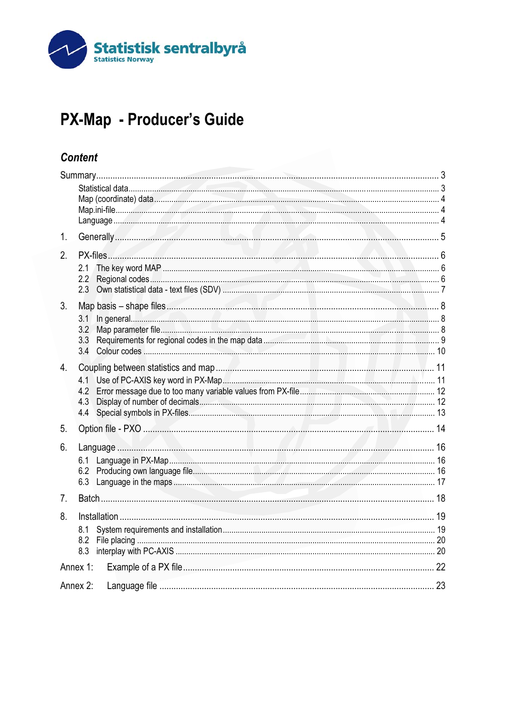

# PX-Map - Producer's Guide

## **Content**

| 1.             |                                                                                                                                                                                                                                                                  |  |  |
|----------------|------------------------------------------------------------------------------------------------------------------------------------------------------------------------------------------------------------------------------------------------------------------|--|--|
| 2.             | 2.1<br>2.2<br>2.3                                                                                                                                                                                                                                                |  |  |
| 3.             | <u>In general with the contract of the contract of the contract of the contract of the contract of the contract of the contract of the contract of the contract of the contract of the contract of the contract of the contract </u><br>3.1<br>3.2<br>3.3<br>3.4 |  |  |
| 4.             | 4.1<br>4.2<br>4.3<br>4.4                                                                                                                                                                                                                                         |  |  |
| 5.             |                                                                                                                                                                                                                                                                  |  |  |
| 6.             | 6.1<br>6.2<br>6.3                                                                                                                                                                                                                                                |  |  |
| 7 <sub>1</sub> |                                                                                                                                                                                                                                                                  |  |  |
| 8.             | 8.1<br>8.2<br>8.3                                                                                                                                                                                                                                                |  |  |
|                | Annex 1:                                                                                                                                                                                                                                                         |  |  |
|                | Annex 2:                                                                                                                                                                                                                                                         |  |  |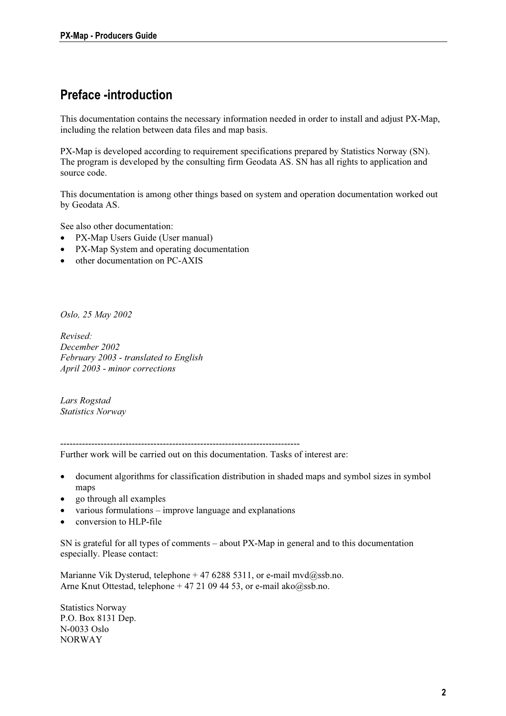## Preface -introduction

This documentation contains the necessary information needed in order to install and adjust PX-Map, including the relation between data files and map basis.

PX-Map is developed according to requirement specifications prepared by Statistics Norway (SN). The program is developed by the consulting firm Geodata AS. SN has all rights to application and source code.

This documentation is among other things based on system and operation documentation worked out by Geodata AS.

See also other documentation:

- PX-Map Users Guide (User manual)
- PX-Map System and operating documentation
- other documentation on PC-AXIS

Oslo, 25 May 2002

Revised: December 2002 February 2003 - translated to English April 2003 - minor corrections

Lars Rogstad Statistics Norway

-----------------------------------------------------------------------------

Further work will be carried out on this documentation. Tasks of interest are:

- document algorithms for classification distribution in shaded maps and symbol sizes in symbol maps
- go through all examples
- various formulations improve language and explanations
- conversion to HLP-file

SN is grateful for all types of comments – about PX-Map in general and to this documentation especially. Please contact:

Marianne Vik Dysterud, telephone + 47 6288 5311, or e-mail mvd@ssb.no. Arne Knut Ottestad, telephone + 47 21 09 44 53, or e-mail ako@ssb.no.

Statistics Norway P.O. Box 8131 Dep. N-0033 Oslo NORWAY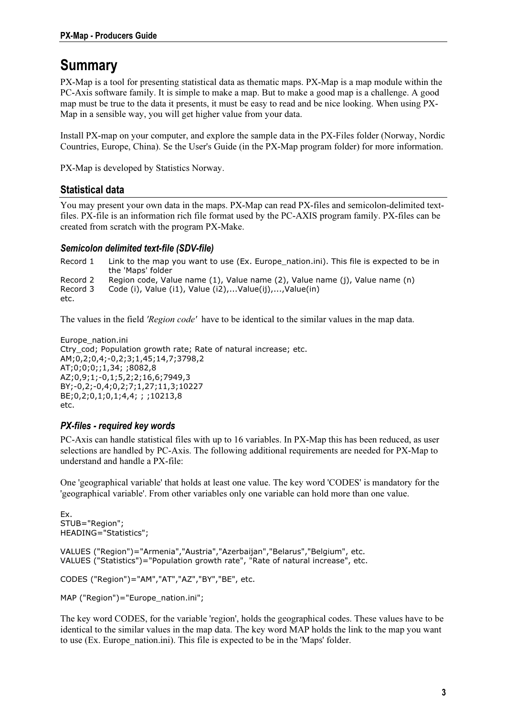## <span id="page-2-0"></span>**Summary**

PX-Map is a tool for presenting statistical data as thematic maps. PX-Map is a map module within the PC-Axis software family. It is simple to make a map. But to make a good map is a challenge. A good map must be true to the data it presents, it must be easy to read and be nice looking. When using PX-Map in a sensible way, you will get higher value from your data.

Install PX-map on your computer, and explore the sample data in the PX-Files folder (Norway, Nordic Countries, Europe, China). Se the User's Guide (in the PX-Map program folder) for more information.

PX-Map is developed by Statistics Norway.

#### Statistical data

You may present your own data in the maps. PX-Map can read PX-files and semicolon-delimited textfiles. PX-file is an information rich file format used by the PC-AXIS program family. PX-files can be created from scratch with the program PX-Make.

#### Semicolon delimited text-file (SDV-file)

Record 1 Link to the map you want to use (Ex. Europe nation.ini). This file is expected to be in the 'Maps' folder Record 2 Region code, Value name (1), Value name (2), Value name (j), Value name (n) Record 3 Code (i), Value (i1), Value (i2),...Value(ij),...,Value(in) etc.

The values in the field 'Region code' have to be identical to the similar values in the map data.

Europe\_nation.ini Ctry\_cod; Population growth rate; Rate of natural increase; etc. AM;0,2;0,4;-0,2;3;1,45;14,7;3798,2 AT;0;0;0;;1,34; ;8082,8 AZ;0,9;1;-0,1;5,2;2;16,6;7949,3 BY;-0,2;-0,4;0,2;7;1,27;11,3;10227 BE;0,2;0,1;0,1;4,4; ; ;10213,8 etc.

#### PX-files - required key words

PC-Axis can handle statistical files with up to 16 variables. In PX-Map this has been reduced, as user selections are handled by PC-Axis. The following additional requirements are needed for PX-Map to understand and handle a PX-file:

One 'geographical variable' that holds at least one value. The key word 'CODES' is mandatory for the 'geographical variable'. From other variables only one variable can hold more than one value.

Ex. STUB="Region"; HEADING="Statistics";

VALUES ("Region")="Armenia","Austria","Azerbaijan","Belarus","Belgium", etc. VALUES ("Statistics")="Population growth rate", "Rate of natural increase", etc.

CODES ("Region")="AM","AT","AZ","BY","BE", etc.

MAP ("Region")="Europe\_nation.ini";

The key word CODES, for the variable 'region', holds the geographical codes. These values have to be identical to the similar values in the map data. The key word MAP holds the link to the map you want to use (Ex. Europe\_nation.ini). This file is expected to be in the 'Maps' folder.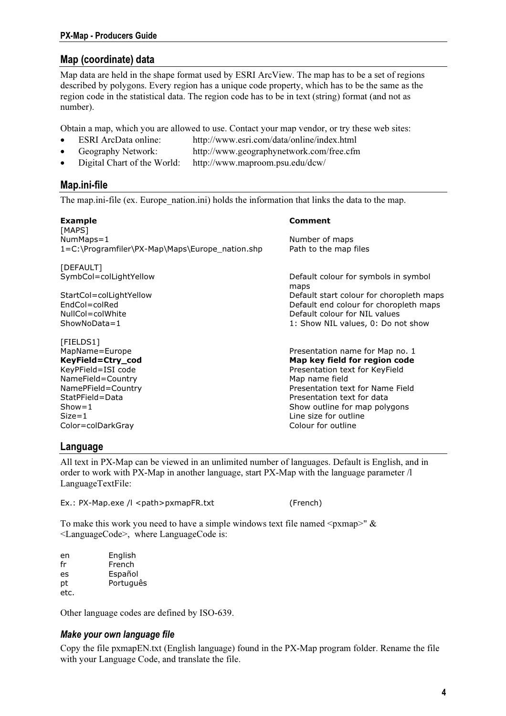#### <span id="page-3-0"></span>Map (coordinate) data

Map data are held in the shape format used by ESRI ArcView. The map has to be a set of regions described by polygons. Every region has a unique code property, which has to be the same as the region code in the statistical data. The region code has to be in text (string) format (and not as number).

Obtain a map, which you are allowed to use. Contact your map vendor, or try these web sites:

- ESRI ArcData online: http://www.esri.com/data/online/index.html
- Geography Network: http://www.geographynetwork.com/free.cfm
- Digital Chart of the World: http://www.maproom.psu.edu/dcw/

### Map.ini-file

The map.ini-file (ex. Europe nation.ini) holds the information that links the data to the map.

| <b>Example</b>                                  | Comment                                      |
|-------------------------------------------------|----------------------------------------------|
| [MAPS]<br>NumMaps=1                             | Number of maps                               |
| 1=C:\Programfiler\PX-Map\Maps\Europe_nation.shp | Path to the map files                        |
| [DEFAULT]                                       |                                              |
| SymbCol=colLightYellow                          | Default colour for symbols in symbol<br>maps |
| StartCol=colLightYellow                         | Default start colour for choropleth maps     |
| $EndCol = colRed$                               | Default end colour for choropleth maps       |
| NullCol=colWhite                                | Default colour for NIL values                |
| $ShowNoData = 1$                                | 1: Show NIL values, 0: Do not show           |
| [FIELDS1]                                       |                                              |
| MapName=Europe                                  | Presentation name for Map no. 1              |
| KeyField=Ctry_cod                               | Map key field for region code                |
| KeyPField=ISI code                              | Presentation text for KeyField               |
| NameField=Country                               | Map name field                               |
| NamePField=Country                              | Presentation text for Name Field             |
| StatPField=Data                                 | Presentation text for data                   |
| $Show = 1$                                      | Show outline for map polygons                |
| $Size = 1$                                      | Line size for outline                        |

#### Language

All text in PX-Map can be viewed in an unlimited number of languages. Default is English, and in order to work with PX-Map in another language, start PX-Map with the language parameter /l LanguageTextFile:

Ex.: PX-Map.exe /l <path>pxmapFR.txt (French)

To make this work you need to have a simple windows text file named  $\langle p \rangle^* \&$ <LanguageCode>, where LanguageCode is:

Color=colDarkGray Colour for outline

| en   | English   |
|------|-----------|
| fr   | French    |
| es   | Español   |
| рt   | Português |
| etc. |           |

Other language codes are defined by ISO-639.

#### Make your own language file

Copy the file pxmapEN.txt (English language) found in the PX-Map program folder. Rename the file with your Language Code, and translate the file.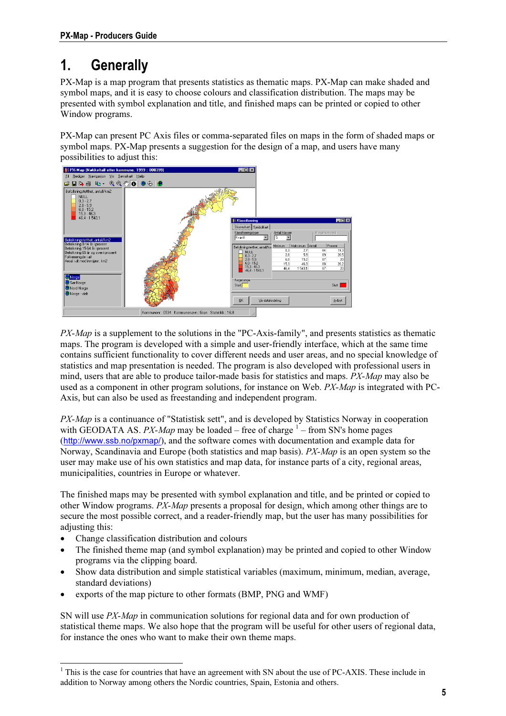# <span id="page-4-0"></span>1. Generally

PX-Map is a map program that presents statistics as thematic maps. PX-Map can make shaded and symbol maps, and it is easy to choose colours and classification distribution. The maps may be presented with symbol explanation and title, and finished maps can be printed or copied to other Window programs.

PX-Map can present PC Axis files or comma-separated files on maps in the form of shaded maps or symbol maps. PX-Map presents a suggestion for the design of a map, and users have many possibilities to adjust this:



PX-Map is a supplement to the solutions in the "PC-Axis-family", and presents statistics as thematic maps. The program is developed with a simple and user-friendly interface, which at the same time contains sufficient functionality to cover different needs and user areas, and no special knowledge of statistics and map presentation is needed. The program is also developed with professional users in mind, users that are able to produce tailor-made basis for statistics and maps. PX-Map may also be used as a component in other program solutions, for instance on Web.  $PX-Map$  is integrated with PC-Axis, but can also be used as freestanding and independent program.

PX-Map is a continuance of "Statistisk sett", and is developed by Statistics Norway in cooperation with GEODATA AS. PX-Map may be loaded [–](#page-4-1) free of charge  $1$  – from SN's home pages (http://www.ssb.no/pxmap/), and the software comes with documentation and example data for Norway, Scandinavia and Europe (both statistics and map basis). *PX-Map* is an open system so the user may make use of his own statistics and map data, for instance parts of a city, regional areas, municipalities, countries in Europe or whatever.

The finished maps may be presented with symbol explanation and title, and be printed or copied to other Window programs. PX-Map presents a proposal for design, which among other things are to secure the most possible correct, and a reader-friendly map, but the user has many possibilities for adjusting this:

- Change classification distribution and colours
- The finished theme map (and symbol explanation) may be printed and copied to other Window programs via the clipping board.
- Show data distribution and simple statistical variables (maximum, minimum, median, average, standard deviations)
- exports of the map picture to other formats (BMP, PNG and WMF)

SN will use PX-Map in communication solutions for regional data and for own production of statistical theme maps. We also hope that the program will be useful for other users of regional data, for instance the ones who want to make their own theme maps.

<span id="page-4-1"></span><sup>&</sup>lt;sup>1</sup> This is the case for countries that have an agreement with SN about the use of PC-AXIS. These include in addition to Norway among others the Nordic countries, Spain, Estonia and others.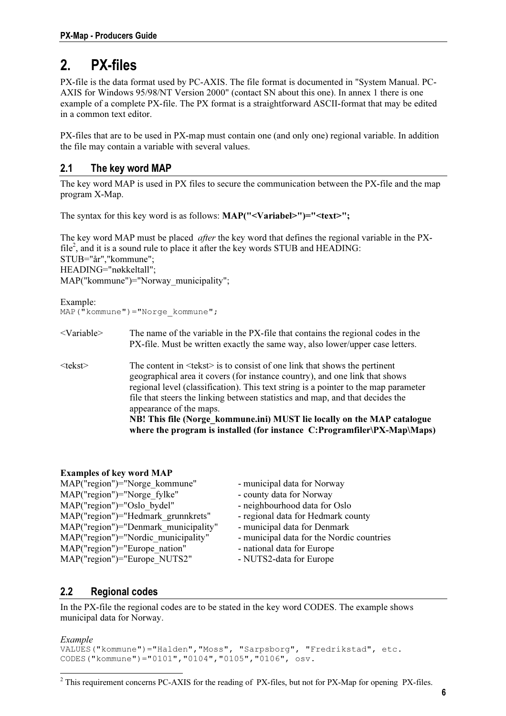## <span id="page-5-0"></span>2. PX-files

PX-file is the data format used by PC-AXIS. The file format is documented in "System Manual. PC-AXIS for Windows 95/98/NT Version 2000" (contact SN about this one). In annex 1 there is one example of a complete PX-file. The PX format is a straightforward ASCII-format that may be edited in a common text editor.

PX-files that are to be used in PX-map must contain one (and only one) regional variable. In addition the file may contain a variable with several values.

### 2.1 The key word MAP

The key word MAP is used in PX files to secure the communication between the PX-file and the map program X-Map.

The syntax for this key word is as follows: MAP("<Variabel>")="<text>";

The key word MAP must be placed *after* the key word that defines the regional variable in the PX-file<sup>2</sup>[,](#page-5-1) and it is a sound rule to place it after the key words STUB and HEADING: STUB="år","kommune"; HEADING="nøkkeltall"; MAP("kommune")="Norway\_municipality";

```
Example: 
MAP("kommune")="Norge_kommune";
```
- <Variable> The name of the variable in the PX-file that contains the regional codes in the PX-file. Must be written exactly the same way, also lower/upper case letters.
- <tekst> The content in <tekst> is to consist of one link that shows the pertinent geographical area it covers (for instance country), and one link that shows regional level (classification). This text string is a pointer to the map parameter file that steers the linking between statistics and map, and that decides the appearance of the maps. NB! This file (Norge kommune.ini) MUST lie locally on the MAP catalogue where the program is installed (for instance C:Programfiler\PX-Map\Maps)

#### Examples of key word MAP

| MAP("region")="Norge kommune"        | - municipal data for Norway               |
|--------------------------------------|-------------------------------------------|
| MAP("region")="Norge fylke"          | - county data for Norway                  |
| MAP("region")="Oslo bydel"           | - neighbourhood data for Oslo             |
| MAP("region")="Hedmark grunnkrets"   | - regional data for Hedmark county        |
| MAP("region")="Denmark municipality" | - municipal data for Denmark              |
| MAP("region")="Nordic municipality"  | - municipal data for the Nordic countries |
| MAP("region")="Europe nation"        | - national data for Europe                |
| MAP("region")="Europe NUTS2"         | - NUTS2-data for Europe                   |

### 2.2 Regional codes

In the PX-file the regional codes are to be stated in the key word CODES. The example shows municipal data for Norway.

#### Example

 $\overline{a}$ 

```
VALUES("kommune")="Halden","Moss", "Sarpsborg", "Fredrikstad", etc. 
CODES("kommune")="0101","0104","0105","0106", osv.
```
<span id="page-5-1"></span> $2^2$  This requirement concerns PC-AXIS for the reading of PX-files, but not for PX-Map for opening PX-files.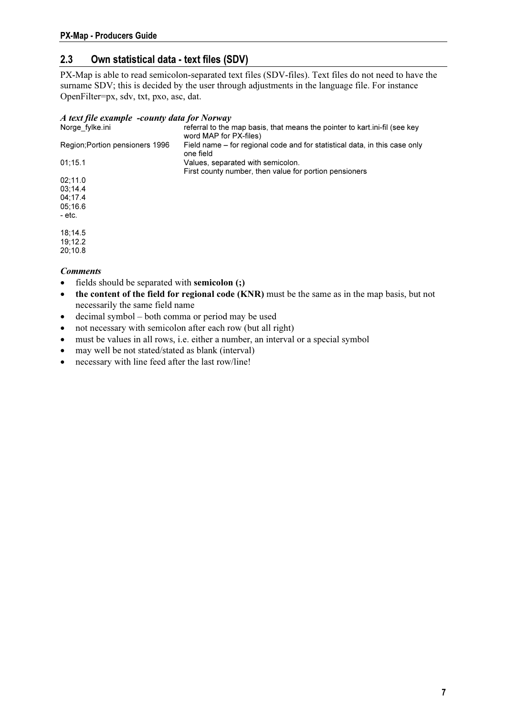### <span id="page-6-0"></span>2.3 Own statistical data - text files (SDV)

PX-Map is able to read semicolon-separated text files (SDV-files). Text files do not need to have the surname SDV; this is decided by the user through adjustments in the language file. For instance OpenFilter=px, sdv, txt, pxo, asc, dat.

#### A text file example -county data for Norway

| Norge fylke.ini                 | referral to the map basis, that means the pointer to kart.ini-fil (see key<br>word MAP for PX-files) |
|---------------------------------|------------------------------------------------------------------------------------------------------|
| Region; Portion pensioners 1996 | Field name – for regional code and for statistical data, in this case only<br>one field              |
| 01:15.1                         | Values, separated with semicolon.                                                                    |
|                                 | First county number, then value for portion pensioners                                               |
| 02:11.0                         |                                                                                                      |
| 03:14.4                         |                                                                                                      |
| 04:17.4                         |                                                                                                      |
| 05:16.6                         |                                                                                                      |
| - etc.                          |                                                                                                      |
| 18:14.5                         |                                                                                                      |
| 19:12.2                         |                                                                                                      |
| 20:10.8                         |                                                                                                      |

- **Comments**
- fields should be separated with semicolon (;)
- the content of the field for regional code (KNR) must be the same as in the map basis, but not necessarily the same field name
- decimal symbol both comma or period may be used
- not necessary with semicolon after each row (but all right)
- must be values in all rows, i.e. either a number, an interval or a special symbol
- may well be not stated/stated as blank (interval)
- necessary with line feed after the last row/line!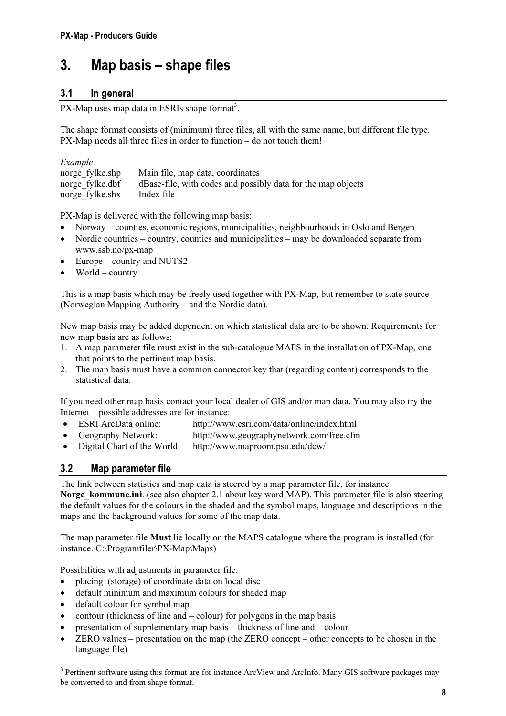## <span id="page-7-0"></span>3. Map basis – shape files

### 3.1 In general

PX-Map uses map data in ESRIs shape format<sup>3</sup>.

The shape format consists of (minimum) three files, all with the same name, but different file type. PX-Map needs all three files in order to function – do not touch them!

| Example         |                                                              |
|-----------------|--------------------------------------------------------------|
| norge fylke.shp | Main file, map data, coordinates                             |
| norge fylke.dbf | dBase-file, with codes and possibly data for the map objects |
| norge fylke.shx | Index file                                                   |

PX-Map is delivered with the following map basis:

- Norway counties, economic regions, municipalities, neighbourhoods in Oslo and Bergen
- Nordic countries country, counties and municipalities may be downloaded separate from www.ssb.no/px-map
- Europe country and NUTS2
- $World country$

This is a map basis which may be freely used together with PX-Map, but remember to state source (Norwegian Mapping Authority – and the Nordic data).

New map basis may be added dependent on which statistical data are to be shown. Requirements for new map basis are as follows:

- 1. A map parameter file must exist in the sub-catalogue MAPS in the installation of PX-Map, one that points to the pertinent map basis.
- 2. The map basis must have a common connector key that (regarding content) corresponds to the statistical data.

If you need other map basis contact your local dealer of GIS and/or map data. You may also try the Internet – possible addresses are for instance:

- ESRI ArcData online: http://www.esri.com/data/online/index.html
- Geography Network: http://www.geographynetwork.com/free.cfm
- Digital Chart of the World: http://www.maproom.psu.edu/dcw/

#### 3.2 Map parameter file

The link between statistics and map data is steered by a map parameter file, for instance Norge kommune.ini. (see also chapter 2.1 about key word MAP). This parameter file is also steering the default values for the colours in the shaded and the symbol maps, language and descriptions in the maps and the background values for some of the map data.

The map parameter file Must lie locally on the MAPS catalogue where the program is installed (for instance. C:\Programfiler\PX-Map\Maps)

Possibilities with adjustments in parameter file:

- placing (storage) of coordinate data on local disc
- default minimum and maximum colours for shaded map
- default colour for symbol map
- contour (thickness of line and  $-\text{colour}$ ) for polygons in the map basis
- presentation of supplementary map basis thickness of line and colour
- ZERO values presentation on the map (the ZERO concept other concepts to be chosen in the language file)

<span id="page-7-1"></span><sup>&</sup>lt;sup>3</sup> Pertinent software using this format are for instance ArcView and ArcInfo. Many GIS software packages may be converted to and from shape format.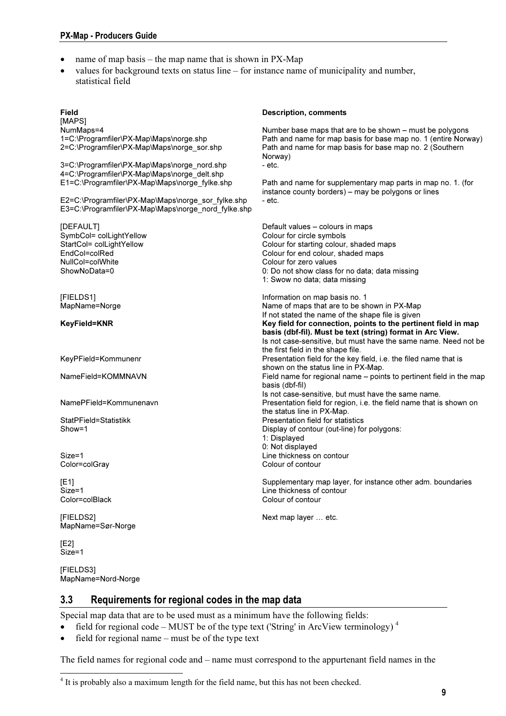- <span id="page-8-0"></span>name of map basis – the map name that is shown in  $PX$ -Map
- values for background texts on status line for instance name of municipality and number, statistical field

[MAPS]<br>NumMaps=4 NumMaps=4<br>1=C:\Programfiler\PX-Map\Maps\norge.shp And that are formap basis for base map no. 1 (entire Norw 2=C:\Programfiler\PX-Map\Maps\norge\_sor.shp Path and name for map basis for base map no. 2 (Southern Norway)<br>- etc. 3=C:\Programfiler\PX-Map\Maps\norge\_nord.shp 4=C:\Programfiler\PX-Map\Maps\norge\_delt.shp E2=C:\Programfiler\PX-Map\Maps\norge\_sor\_fylke.shp - etc. E3=C:\Programfiler\PX-Map\Maps\norge\_nord\_fylke.shp [DEFAULT] Default values – colours in maps SymbCol= colLightYellow entitled and the Colour for circle symbols StartCol= colLightYellow entitled and Colour for starting colour, StartCol= colLightYellow Colour for starting colour, shaded maps<br>
EndCol=colRed maps<br>
Colour for end colour, shaded maps EndCol=colRed Colour for end colour, shaded maps<br>
NullCol=colWhite Colour for zero values NullCol=colWhite Colour for zero values<br>ShowNoData=0 Colour for zero values<br>O∶Do not show class fo 1: Swow no data; data missing [FIELDS1] Information on map basis no. 1 KeyField=KNR Key field for connection, points to the pertinent field in map the first field in the shape file. KeyPField=Kommunenr **Presentation field for the key field, i.e. the filed name that is** Presentation field for the key field, i.e. the filed name that is shown on the status line in PX-Map. NameField=KOMMNAVN Field name for regional name – points to pertinent field in the map basis (dbf-fil) NamePField=Kommunenavn Presentation field for region, i.e. the field name that is shown on the status line in PX-Map. StatPField=Statistikk Presentation field for statistics Show=1 **Display of contour (out-line) for polygons:** 1: Displayed 0: Not displayed Size=1 **Line thickness on contour** Color=colGray Colour of contour [E1] Supplementary map layer, for instance other adm. boundaries

MapName=Sør-Norge

[E2] Size=1

 $\overline{a}$ 

[FIELDS3] MapName=Nord-Norge

#### Description, comments

Path and name for map basis for base map no. 1 (entire Norway)

Path and name for supplementary map parts in map no. 1. (for instance county borders) – may be polygons or lines

0: Do not show class for no data; data missing Name of maps that are to be shown in PX-Map If not stated the name of the shape file is given basis (dbf-fil). Must be text (string) format in Arc View. Is not case-sensitive, but must have the same name. Need not be Is not case-sensitive, but must have the same name.

Size=1 Line thickness of contour<br>Color=colBlack development of contour<br>Colour of contour Colour of contour

[FIELDS2] Next map layer … etc.

#### 3.3 Requirements for regional codes in the map data

Special map data that are to be used must as a minimum have the following fields:

- •field for regional code MUST be of the type text ('String' in ArcView terminology)<sup>4</sup>
- field for regional name must be of the type text

The field names for regional code and – name must correspond to the appurtenant field names in the

<span id="page-8-1"></span><sup>&</sup>lt;sup>4</sup> It is probably also a maximum length for the field name, but this has not been checked.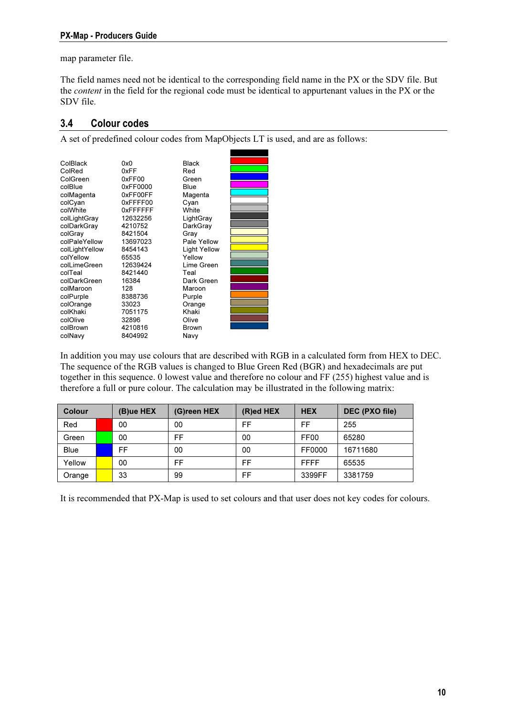#### <span id="page-9-0"></span>PX-Map - Producers Guide

map parameter file.

The field names need not be identical to the corresponding field name in the PX or the SDV file. But the content in the field for the regional code must be identical to appurtenant values in the PX or the SDV file.

#### 3.4 Colour codes

A set of predefined colour codes from MapObjects LT is used, and are as follows:

| ColBlack       | 0x0      | <b>Black</b>        |  |
|----------------|----------|---------------------|--|
| ColRed         | 0xFF     | Red                 |  |
| ColGreen       | 0xFF00   | Green               |  |
| colBlue        | 0xFF0000 | Blue                |  |
| colMagenta     | 0xFF00FF | Magenta             |  |
| colCyan        | 0xFFFF00 | Cyan                |  |
| colWhite       | 0xFFFFFF | White               |  |
| colLightGray   | 12632256 | LightGray           |  |
| colDarkGray    | 4210752  | DarkGray            |  |
| colGray        | 8421504  | Grav                |  |
| colPaleYellow  | 13697023 | Pale Yellow         |  |
| colLightYellow | 8454143  | <b>Light Yellow</b> |  |
| colYellow      | 65535    | Yellow              |  |
| colLimeGreen   | 12639424 | Lime Green          |  |
| colTeal        | 8421440  | Teal                |  |
| colDarkGreen   | 16384    | Dark Green          |  |
| colMaroon      | 128      | Maroon              |  |
| colPurple      | 8388736  | Purple              |  |
| colOrange      | 33023    | Orange              |  |
| colKhaki       | 7051175  | Khaki               |  |
| colOlive       | 32896    | Olive               |  |
| colBrown       | 4210816  | <b>Brown</b>        |  |
| colNavy        | 8404992  | Navy                |  |

In addition you may use colours that are described with RGB in a calculated form from HEX to DEC. The sequence of the RGB values is changed to Blue Green Red (BGR) and hexadecimals are put together in this sequence. 0 lowest value and therefore no colour and FF (255) highest value and is therefore a full or pure colour. The calculation may be illustrated in the following matrix:

| <b>Colour</b> |  | (B)ue HEX | (G)reen HEX | $(R)$ ed HEX | <b>HEX</b>       | DEC (PXO file) |
|---------------|--|-----------|-------------|--------------|------------------|----------------|
| Red           |  | 00        | 00          | FF           | FF               | 255            |
| Green         |  | 00        | FF          | 00           | FF <sub>00</sub> | 65280          |
| <b>Blue</b>   |  | FF        | 00          | 00           | FF0000           | 16711680       |
| Yellow        |  | 00        | FF          | FF           | <b>FFFF</b>      | 65535          |
| Orange        |  | 33        | 99          | FF           | 3399FF           | 3381759        |

It is recommended that PX-Map is used to set colours and that user does not key codes for colours.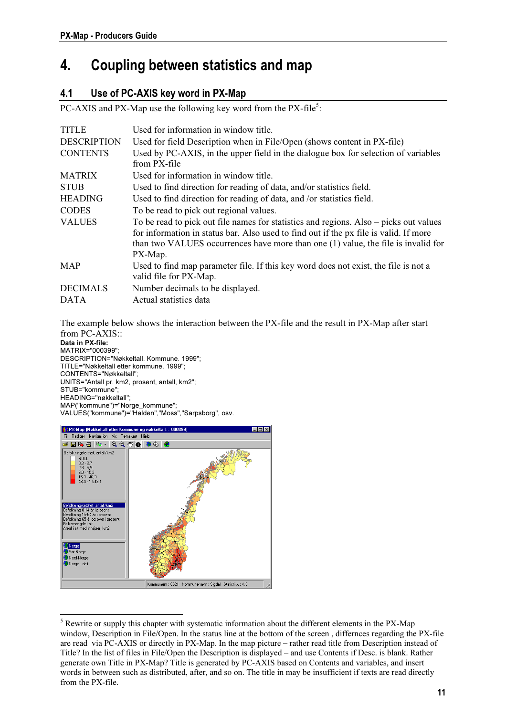## <span id="page-10-0"></span>4. Coupling between statistics and map

### 4.1 Use of PC-AXIS key word in PX-Map

PC-AXIS and PX-Map use the following key word from the PX-file<sup>5</sup>[:](#page-10-1)

| <b>TITLE</b>       | Used for information in window title.                                                 |
|--------------------|---------------------------------------------------------------------------------------|
| <b>DESCRIPTION</b> | Used for field Description when in File/Open (shows content in PX-file)               |
| <b>CONTENTS</b>    | Used by PC-AXIS, in the upper field in the dialogue box for selection of variables    |
|                    | from PX-file                                                                          |
| <b>MATRIX</b>      | Used for information in window title.                                                 |
| <b>STUB</b>        | Used to find direction for reading of data, and/or statistics field.                  |
| <b>HEADING</b>     | Used to find direction for reading of data, and /or statistics field.                 |
| <b>CODES</b>       | To be read to pick out regional values.                                               |
| <b>VALUES</b>      | To be read to pick out file names for statistics and regions. Also – picks out values |
|                    | for information in status bar. Also used to find out if the px file is valid. If more |
|                    | than two VALUES occurrences have more than one (1) value, the file is invalid for     |
|                    | PX-Map.                                                                               |
| <b>MAP</b>         | Used to find map parameter file. If this key word does not exist, the file is not a   |
|                    | valid file for PX-Map.                                                                |
| <b>DECIMALS</b>    | Number decimals to be displayed.                                                      |
| <b>DATA</b>        | Actual statistics data                                                                |

The example below shows the interaction between the PX-file and the result in PX-Map after start

from PC-AXIS:: Data in PX-file: MATRIX="000399"; DESCRIPTION="Nøkkeltall. Kommune. 1999"; TITLE="Nøkkeltall etter kommune. 1999"; CONTENTS="Nøkkeltall"; UNITS="Antall pr. km2, prosent, antall, km2"; STUB="kommune"; HEADING="nøkkeltall"; MAP("kommune")="Norge\_kommune"; VALUES("kommune")="Halden","Moss","Sarpsborg", osv.



 $\overline{a}$ 

<span id="page-10-1"></span> $<sup>5</sup>$  Rewrite or supply this chapter with systematic information about the different elements in the PX-Map</sup> window, Description in File/Open. In the status line at the bottom of the screen, differnces regarding the PX-file are read via PC-AXIS or directly in PX-Map. In the map picture – rather read title from Description instead of Title? In the list of files in File/Open the Description is displayed – and use Contents if Desc. is blank. Rather generate own Title in PX-Map? Title is generated by PC-AXIS based on Contents and variables, and insert words in between such as distributed, after, and so on. The title in may be insufficient if texts are read directly from the PX-file.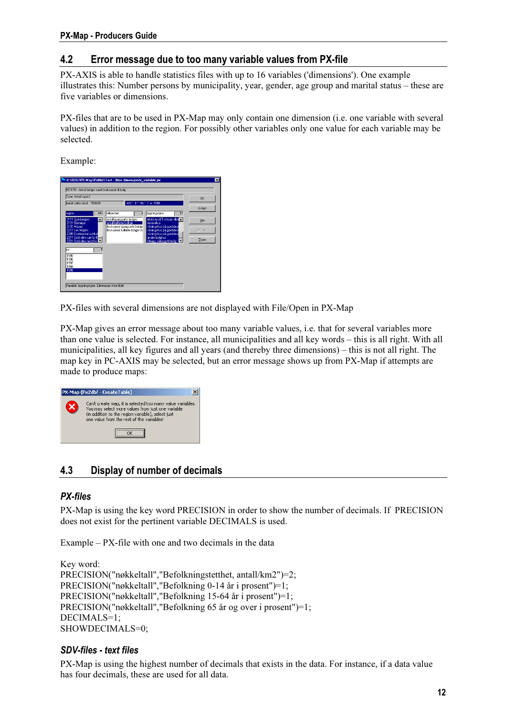#### <span id="page-11-0"></span>PX-Map - Producers Guide

#### 4.2 Error message due to too many variable values from PX-file

PX-AXIS is able to handle statistics files with up to 16 variables ('dimensions'). One example illustrates this: Number persons by municipality, year, gender, age group and marital status – these are five variables or dimensions.

PX-files that are to be used in PX-Map may only contain one dimension (i.e. one variable with several values) in addition to the region. For possibly other variables only one value for each variable may be selected.

Example:



PX-files with several dimensions are not displayed with File/Open in PX-Map

PX-Map gives an error message about too many variable values, i.e. that for several variables more than one value is selected. For instance, all municipalities and all key words – this is all right. With all municipalities, all key figures and all years (and thereby three dimensions) – this is not all right. The map key in PC-AXIS may be selected, but an error message shows up from PX-Map if attempts are made to produce maps:



### 4.3 Display of number of decimals

#### PX-files

PX-Map is using the key word PRECISION in order to show the number of decimals. If PRECISION does not exist for the pertinent variable DECIMALS is used.

Example – PX-file with one and two decimals in the data

Key word: PRECISION("nøkkeltall","Befolkningstetthet, antall/km2")=2; PRECISION("nøkkeltall","Befolkning 0-14 år i prosent")=1; PRECISION("nøkkeltall","Befolkning 15-64 år i prosent")=1; PRECISION("nøkkeltall","Befolkning 65 år og over i prosent")=1; DECIMALS=1; SHOWDECIMALS=0;

#### SDV-files - text files

PX-Map is using the highest number of decimals that exists in the data. For instance, if a data value has four decimals, these are used for all data.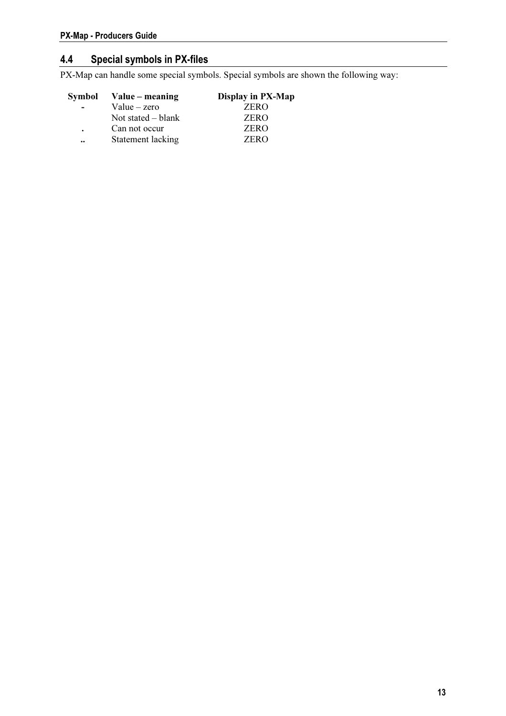## <span id="page-12-0"></span>4.4 Special symbols in PX-files

PX-Map can handle some special symbols. Special symbols are shown the following way:

|                      | Symbol Value – meaning | Display in PX-Map |
|----------------------|------------------------|-------------------|
| $\blacksquare$       | $Value - zero$         | <b>ZERO</b>       |
|                      | Not stated $-$ blank   | <b>ZERO</b>       |
| $\ddot{\phantom{a}}$ | Can not occur          | <b>ZERO</b>       |
| $\ddot{\phantom{a}}$ | Statement lacking      | <b>ZERO</b>       |
|                      |                        |                   |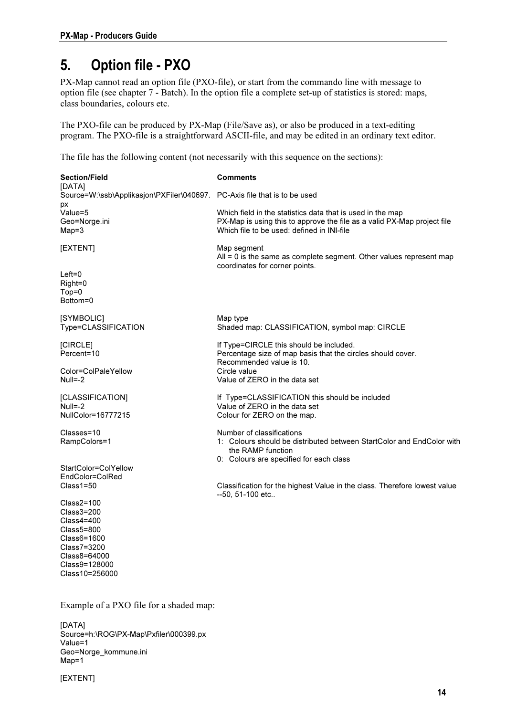# <span id="page-13-0"></span>5. Option file - PXO

PX-Map cannot read an option file (PXO-file), or start from the commando line with message to option file (see chapter 7 - Batch). In the option file a complete set-up of statistics is stored: maps, class boundaries, colours etc.

The PXO-file can be produced by PX-Map (File/Save as), or also be produced in a text-editing program. The PXO-file is a straightforward ASCII-file, and may be edited in an ordinary text editor.

The file has the following content (not necessarily with this sequence on the sections):

| <b>Section/Field</b>                                                                                                                        | <b>Comments</b>                                                                                                                                                                     |  |  |  |
|---------------------------------------------------------------------------------------------------------------------------------------------|-------------------------------------------------------------------------------------------------------------------------------------------------------------------------------------|--|--|--|
| [DATA]<br>Source=W:\ssb\Applikasjon\PXFiler\040697. PC-Axis file that is to be used                                                         |                                                                                                                                                                                     |  |  |  |
| рx<br>Value=5<br>Geo=Norge.ini<br>$Map=3$                                                                                                   | Which field in the statistics data that is used in the map<br>PX-Map is using this to approve the file as a valid PX-Map project file<br>Which file to be used: defined in INI-file |  |  |  |
| [EXTENT]                                                                                                                                    | Map segment<br>$All = 0$ is the same as complete segment. Other values represent map                                                                                                |  |  |  |
| $Left = 0$<br>Right=0<br>$Top = 0$<br>Bottom=0                                                                                              | coordinates for corner points.                                                                                                                                                      |  |  |  |
| [SYMBOLIC]<br>Type=CLASSIFICATION                                                                                                           | Map type<br>Shaded map: CLASSIFICATION, symbol map: CIRCLE                                                                                                                          |  |  |  |
| [CIRCLE]<br>Percent=10                                                                                                                      | If Type=CIRCLE this should be included.<br>Percentage size of map basis that the circles should cover.<br>Recommended value is 10.                                                  |  |  |  |
| Color=ColPaleYellow<br>$Null=-2$                                                                                                            | Circle value<br>Value of ZERO in the data set                                                                                                                                       |  |  |  |
| [CLASSIFICATION]<br>$Null=-2$<br>NullColor=16777215                                                                                         | If Type=CLASSIFICATION this should be included<br>Value of ZERO in the data set<br>Colour for ZERO on the map.                                                                      |  |  |  |
| Classes=10<br>RampColors=1                                                                                                                  | Number of classifications<br>1: Colours should be distributed between StartColor and EndColor with<br>the RAMP function<br>0: Colours are specified for each class                  |  |  |  |
| StartColor=ColYellow                                                                                                                        |                                                                                                                                                                                     |  |  |  |
| EndColor=ColRed<br>$Class1 = 50$                                                                                                            | Classification for the highest Value in the class. Therefore lowest value<br>--50, 51-100 etc                                                                                       |  |  |  |
| $Class2=100$<br>$Class3 = 200$<br>Class4=400<br>Class5=800<br>Class6=1600<br>Class7=3200<br>Class8=64000<br>Class9=128000<br>Class10=256000 |                                                                                                                                                                                     |  |  |  |
| Example of a PXO file for a shaded map:                                                                                                     |                                                                                                                                                                                     |  |  |  |

[DATA] Source=h:\ROG\PX-Map\Pxfiler\000399.px Value=1 Geo=Norge\_kommune.ini Map=1

[EXTENT]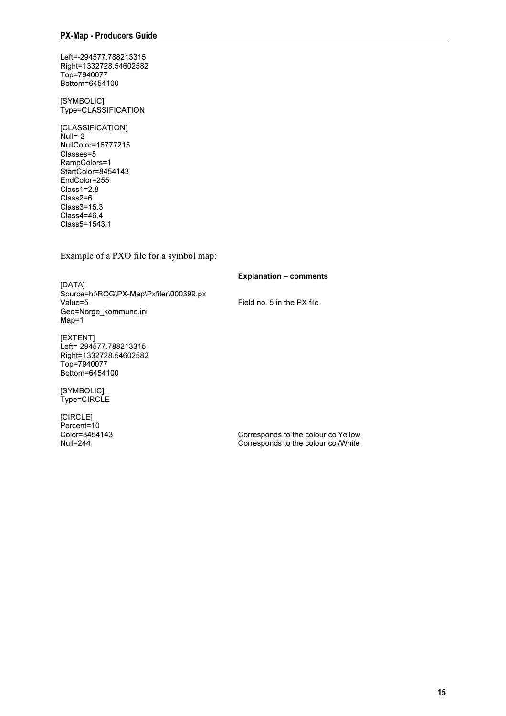Left=-294577.788213315 Right=1332728.54602582 Top=7940077 Bottom=6454100

[SYMBOLIC] Type=CLASSIFICATION

[CLASSIFICATION] Null=-2 NullColor=16777215 Classes=5 RampColors=1 StartColor=8454143 EndColor=255 Class1=2.8 Class2=6 Class3=15.3 Class4=46.4 Class5=1543.1

Example of a PXO file for a symbol map:

Explanation – comments

[DATA] Source=h:\ROG\PX-Map\Pxfiler\000399.px Value=5 Field no. 5 in the PX file Geo=Norge\_kommune.ini Map=1

[EXTENT] Left=-294577.788213315 Right=1332728.54602582 Top=7940077 Bottom=6454100

[SYMBOLIC] Type=CIRCLE

[CIRCLE] Percent=10<br>Color=8454143

Color=8454143 Corresponds to the colour colYellow Corresponds to the colour col/White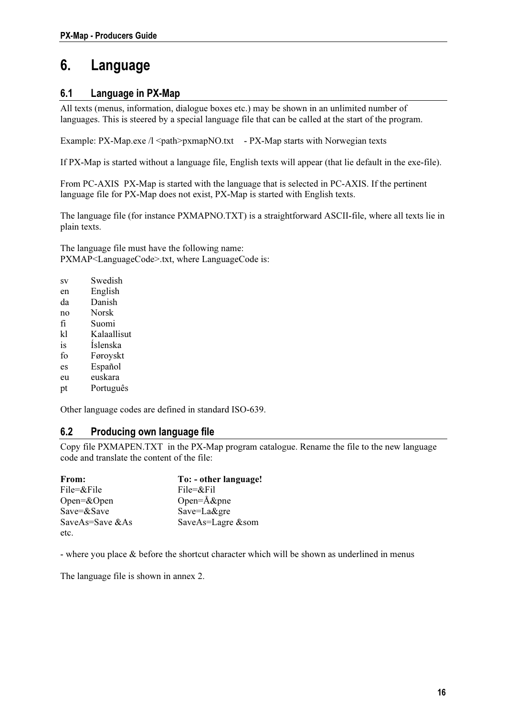## <span id="page-15-0"></span>6. Language

### 6.1 Language in PX-Map

All texts (menus, information, dialogue boxes etc.) may be shown in an unlimited number of languages. This is steered by a special language file that can be called at the start of the program.

Example: PX-Map.exe /l <path>pxmapNO.txt - PX-Map starts with Norwegian texts

If PX-Map is started without a language file, English texts will appear (that lie default in the exe-file).

From PC-AXIS PX-Map is started with the language that is selected in PC-AXIS. If the pertinent language file for PX-Map does not exist, PX-Map is started with English texts.

The language file (for instance PXMAPNO.TXT) is a straightforward ASCII-file, where all texts lie in plain texts.

The language file must have the following name: PXMAP<LanguageCode>.txt, where LanguageCode is:

- sv Swedish
- en English
- da Danish
- no Norsk
- fi Suomi
- kl Kalaallisut
- is Íslenska
- fo Føroyskt
- es Español
- eu euskara
- pt Português

Other language codes are defined in standard ISO-639.

#### 6.2 Producing own language file

Copy file PXMAPEN.TXT in the PX-Map program catalogue. Rename the file to the new language code and translate the content of the file:

| From:              | To: - other language! |
|--------------------|-----------------------|
| $File = &$         | $File = &$            |
| Open= $&$ Open     | Open= $A\&$ pne       |
| $Save = & Save$    | Save=La&gre           |
| SaveAs=Save $&$ As | SaveAs=Lagre &som     |
| etc.               |                       |

- where you place & before the shortcut character which will be shown as underlined in menus

The language file is shown in annex 2.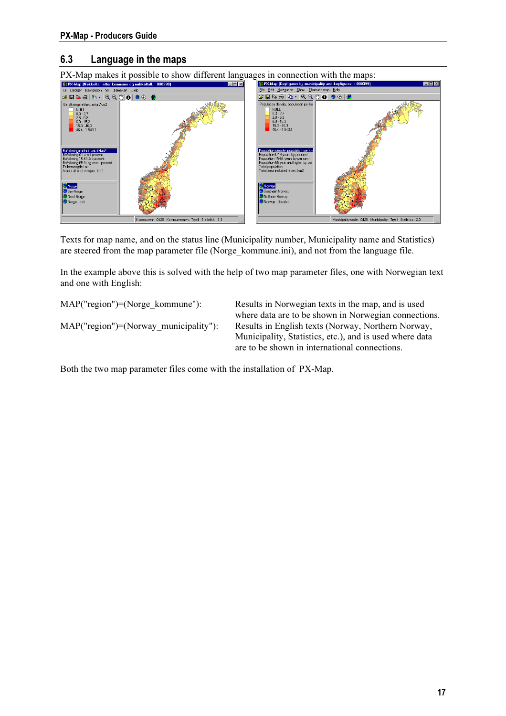### <span id="page-16-0"></span>6.3 Language in the maps



Texts for map name, and on the status line (Municipality number, Municipality name and Statistics) are steered from the map parameter file (Norge\_kommune.ini), and not from the language file.

In the example above this is solved with the help of two map parameter files, one with Norwegian text and one with English:

MAP("region")=(Norge kommune"): Results in Norwegian texts in the map, and is used where data are to be shown in Norwegian connections. MAP("region")=(Norway\_municipality"): Results in English texts (Norway, Northern Norway, Municipality, Statistics, etc.), and is used where data are to be shown in international connections.

Both the two map parameter files come with the installation of PX-Map.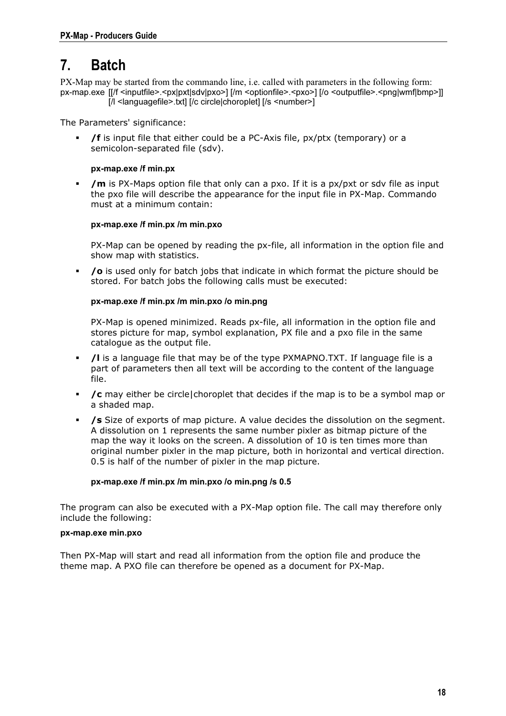## <span id="page-17-0"></span>7. Batch

PX-Map may be started from the commando line, i.e. called with parameters in the following form: px-map.exe [[/f <inputfile>.<px|pxt|sdv|pxo>] [/m <optionfile>.<pxo>] [/o <outputfile>.<png|wmf|bmp>]] [/l <languagefile>.txt] [/c circle|choroplet] [/s <number>]

The Parameters' significance:

 /f is input file that either could be a PC-Axis file, px/ptx (temporary) or a semicolon-separated file (sdv).

#### px-map.exe /f min.px

 $\blacksquare$  /m is PX-Maps option file that only can a pxo. If it is a px/pxt or sdy file as input the pxo file will describe the appearance for the input file in PX-Map. Commando must at a minimum contain:

## px-map.exe /f min.px /m min.pxo

PX-Map can be opened by reading the px-file, all information in the option file and show map with statistics.

 /o is used only for batch jobs that indicate in which format the picture should be stored. For batch jobs the following calls must be executed:

#### px-map.exe /f min.px /m min.pxo /o min.png

PX-Map is opened minimized. Reads px-file, all information in the option file and stores picture for map, symbol explanation, PX file and a pxo file in the same catalogue as the output file.

- /l is a language file that may be of the type PXMAPNO.TXT. If language file is a part of parameters then all text will be according to the content of the language file.
- /c may either be circle|choroplet that decides if the map is to be a symbol map or a shaded map.
- /s Size of exports of map picture. A value decides the dissolution on the segment. A dissolution on 1 represents the same number pixler as bitmap picture of the map the way it looks on the screen. A dissolution of 10 is ten times more than original number pixler in the map picture, both in horizontal and vertical direction. 0.5 is half of the number of pixler in the map picture.

## px-map.exe /px /m min.png /s 0.55 /m min.png /s 0.55 /m min.png /s 0.55 /m min.png /s 0.55 /m min.png /s 0.55 /m min.png /s 0.55 /m min.png /s 0.55 /m min.png /s 0.55 /m min.png /s 0.55 /m min.png /s 0.55 /m min.png /s 0.5

The program can also be executed with a PX-Map option file. The call may therefore only include the following:

#### px-map.exe min.pxo

Then PX-Map will start and read all information from the option file and produce the theme map. A PXO file can therefore be opened as a document for PX-Map.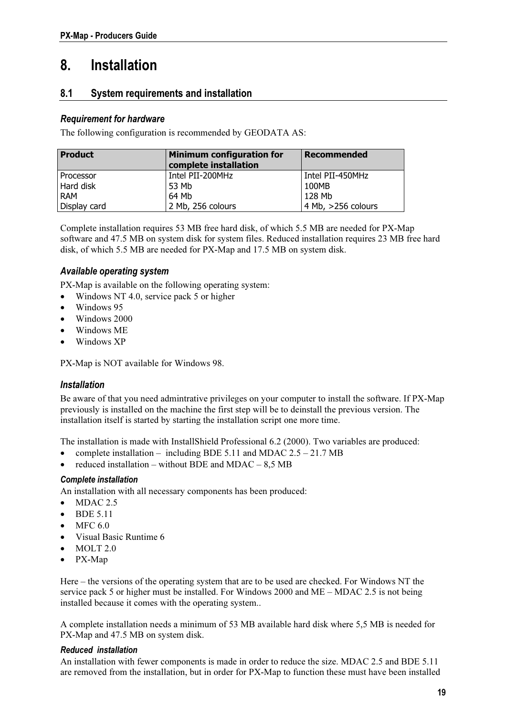# <span id="page-18-0"></span>8. Installation

### 8.1 System requirements and installation

#### Requirement for hardware

The following configuration is recommended by GEODATA AS:

| <b>Product</b> | <b>Minimum configuration for</b><br>complete installation | <b>Recommended</b> |
|----------------|-----------------------------------------------------------|--------------------|
| l Processor    | Intel PII-200MHz                                          | Intel PII-450MHz   |
| Hard disk      | 53 Mb                                                     | 100MB              |
| <b>RAM</b>     | 64 Mb                                                     | 128 Mb             |
| Display card   | 2 Mb, 256 colours                                         | 4 Mb, >256 colours |

Complete installation requires 53 MB free hard disk, of which 5.5 MB are needed for PX-Map software and 47.5 MB on system disk for system files. Reduced installation requires 23 MB free hard disk, of which 5.5 MB are needed for PX-Map and 17.5 MB on system disk.

#### Available operating system

PX-Map is available on the following operating system:

• Windows NT 4.0, service pack 5 or higher

- Windows 95
- Windows 2000
- Windows ME
- Windows XP

PX-Map is NOT available for Windows 98.

#### Installation

Be aware of that you need admintrative privileges on your computer to install the software. If PX-Map previously is installed on the machine the first step will be to deinstall the previous version. The installation itself is started by starting the installation script one more time.

The installation is made with InstallShield Professional 6.2 (2000). Two variables are produced:

- complete installation including BDE 5.11 and MDAC  $2.5 21.7$  MB
- reduced installation without BDE and MDAC  $8.5$  MB

#### Complete installation

An installation with all necessary components has been produced:

- $\bullet$  MDAC 2.5
- BDE 5.11
- MFC 6.0
- Visual Basic Runtime 6
- MOLT 2.0
- PX-Map

Here – the versions of the operating system that are to be used are checked. For Windows NT the service pack 5 or higher must be installed. For Windows 2000 and ME – MDAC 2.5 is not being installed because it comes with the operating system..

A complete installation needs a minimum of 53 MB available hard disk where 5,5 MB is needed for PX-Map and 47.5 MB on system disk.

#### Reduced installation

An installation with fewer components is made in order to reduce the size. MDAC 2.5 and BDE 5.11 are removed from the installation, but in order for PX-Map to function these must have been installed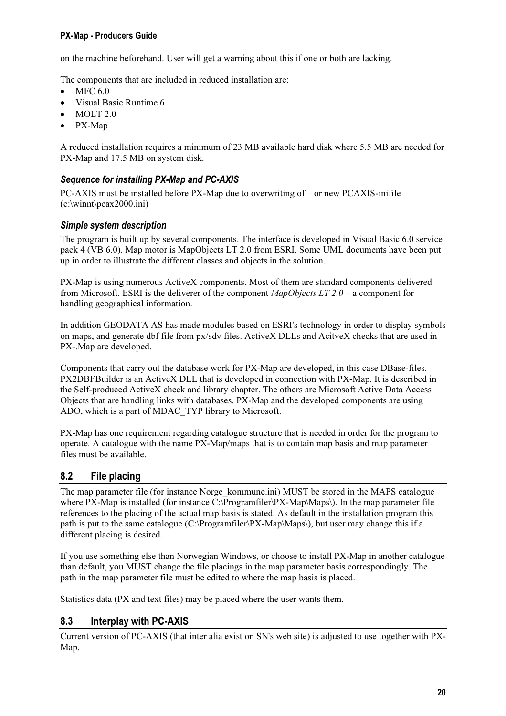<span id="page-19-0"></span>on the machine beforehand. User will get a warning about this if one or both are lacking.

The components that are included in reduced installation are:

- $\bullet$  MFC 6.0
- Visual Basic Runtime 6
- MOLT 2.0
- PX-Map

A reduced installation requires a minimum of 23 MB available hard disk where 5.5 MB are needed for PX-Map and 17.5 MB on system disk.

#### Sequence for installing PX-Map and PC-AXIS

PC-AXIS must be installed before PX-Map due to overwriting of – or new PCAXIS-inifile (c:\winnt\pcax2000.ini)

#### Simple system description

The program is built up by several components. The interface is developed in Visual Basic 6.0 service pack 4 (VB 6.0). Map motor is MapObjects LT 2.0 from ESRI. Some UML documents have been put up in order to illustrate the different classes and objects in the solution.

PX-Map is using numerous ActiveX components. Most of them are standard components delivered from Microsoft. ESRI is the deliverer of the component MapObjects LT 2.0 – a component for handling geographical information.

In addition GEODATA AS has made modules based on ESRI's technology in order to display symbols on maps, and generate dbf file from px/sdv files. ActiveX DLLs and AcitveX checks that are used in PX-.Map are developed.

Components that carry out the database work for PX-Map are developed, in this case DBase-files. PX2DBFBuilder is an ActiveX DLL that is developed in connection with PX-Map. It is described in the Self-produced ActiveX check and library chapter. The others are Microsoft Active Data Access Objects that are handling links with databases. PX-Map and the developed components are using ADO, which is a part of MDAC\_TYP library to Microsoft.

PX-Map has one requirement regarding catalogue structure that is needed in order for the program to operate. A catalogue with the name PX-Map/maps that is to contain map basis and map parameter files must be available.

#### 8.2 File placing

The map parameter file (for instance Norge kommune.ini) MUST be stored in the MAPS catalogue where PX-Map is installed (for instance C:\Programfiler\PX-Map\Maps\). In the map parameter file references to the placing of the actual map basis is stated. As default in the installation program this path is put to the same catalogue (C:\Programfiler\PX-Map\Maps\), but user may change this if a different placing is desired.

If you use something else than Norwegian Windows, or choose to install PX-Map in another catalogue than default, you MUST change the file placings in the map parameter basis correspondingly. The path in the map parameter file must be edited to where the map basis is placed.

Statistics data (PX and text files) may be placed where the user wants them.

#### 8.3 Interplay with PC-AXIS

Current version of PC-AXIS (that inter alia exist on SN's web site) is adjusted to use together with PX-Map.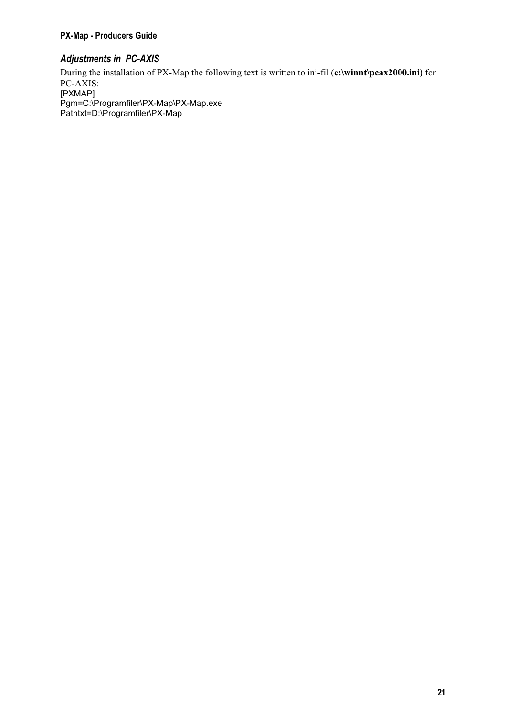### Adjustments in PC-AXIS

During the installation of PX-Map the following text is written to ini-fil (c:\winnt\pcax2000.ini) for PC-AXIS: r<br>Pam=C:\F  $P$ athtxt=D:\Programfiler\PX-Map  $\mathcal{P}$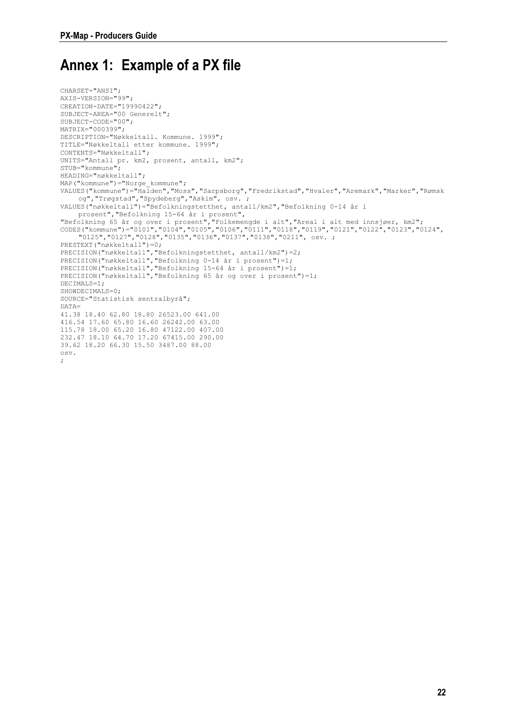## <span id="page-21-0"></span>Annex 1: Example of a PX file

```
CHARSET="ANSI"; 
AXIS-VERSION="99"; 
CREATION-DATE="19990422"; 
SUBJECT-AREA="00 Generelt"; 
SUBJECT-CODE="00"; 
MATRIX="000399"; 
DESCRIPTION="Nøkkeltall. Kommune. 1999"; 
TITLE="Nøkkeltall etter kommune. 1999"; 
CONTENTS="Nøkkeltall"; 
UNITS="Antall pr. km2, prosent, antall, km2"; 
STUB="kommune"; 
HEADING="nøkkeltall"; 
MAP("kommune")="Norge_kommune";
VALUES("kommune")="Halden","Moss","Sarpsborg","Fredrikstad","Hvaler","Aremark","Marker","Rømsk
    og","Trøgstad","Spydeberg","Askim", osv. ; 
VALUES("nøkkeltall")="Befolkningstetthet, antall/km2","Befolkning 0-14 år i 
    prosent","Befolkning 15-64 år i prosent", 
"Befolkning 65 år og over i prosent","Folkemengde i alt","Areal i alt med innsjøer, km2"; 
CODES("kommune")="0101","0104","0105","0106","0111","0118","0119","0121","0122","0123","0124",
    "0125","0127","0128","0135","0136","0137","0138","0211", osv. ; 
PRESTEXT("nøkkeltall")=0; 
PRECISION("nøkkeltall","Befolkningstetthet, antall/km2")=2; 
PRECISION("nøkkeltall","Befolkning 0-14 år i prosent")=1; 
PRECISION("nøkkeltall","Befolkning 15-64 år i prosent")=1; 
PRECISION("nøkkeltall","Befolkning 65 år og over i prosent")=1; 
DECIMALS=1; 
SHOWDECIMALS=0; 
SOURCE="Statistisk sentralbyrå"; 
D\Delta T\Delta=41.38 18.40 62.80 18.80 26523.00 641.00 
416.54 17.60 65.80 16.60 26242.00 63.00 
115.78 18.00 65.20 16.80 47122.00 407.00 
232.47 18.10 64.70 17.20 67415.00 290.00 
39.62 18.20 66.30 15.50 3487.00 88.00 
osv. 
;
```